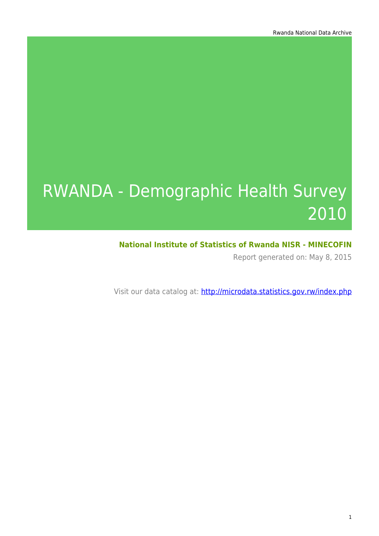# RWANDA - Demographic Health Survey 2010

### **National Institute of Statistics of Rwanda NISR - MINECOFIN**

Report generated on: May 8, 2015

Visit our data catalog at: http://microdata.statistics.gov.rw/index.php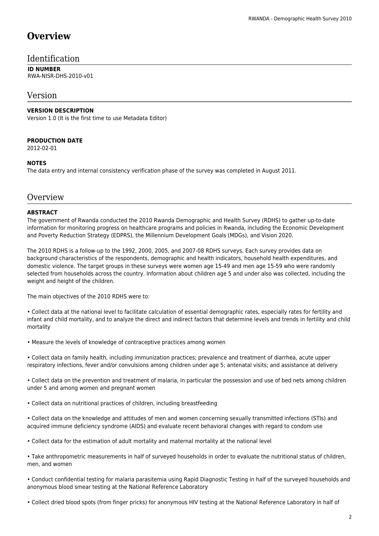### **Overview**

### Identification

#### **ID NUMBER** RWA-NISR-DHS-2010-v01

### Version

### **VERSION DESCRIPTION**

Version 1.0 (It is the first time to use Metadata Editor)

#### **PRODUCTION DATE**

2012-02-01

#### **NOTES**

The data entry and internal consistency verification phase of the survey was completed in August 2011.

### **Overview**

#### **ABSTRACT**

The government of Rwanda conducted the 2010 Rwanda Demographic and Health Survey (RDHS) to gather up-to-date information for monitoring progress on healthcare programs and policies in Rwanda, including the Economic Development and Poverty Reduction Strategy (EDPRS), the Millennium Development Goals (MDGs), and Vision 2020.

The 2010 RDHS is a follow-up to the 1992, 2000, 2005, and 2007-08 RDHS surveys. Each survey provides data on background characteristics of the respondents, demographic and health indicators, household health expenditures, and domestic violence. The target groups in these surveys were women age 15-49 and men age 15-59 who were randomly selected from households across the country. Information about children age 5 and under also was collected, including the weight and height of the children.

The main objectives of the 2010 RDHS were to:

• Collect data at the national level to facilitate calculation of essential demographic rates, especially rates for fertility and infant and child mortality, and to analyze the direct and indirect factors that determine levels and trends in fertility and child mortality

• Measure the levels of knowledge of contraceptive practices among women

• Collect data on family health, including immunization practices; prevalence and treatment of diarrhea, acute upper respiratory infections, fever and/or convulsions among children under age 5; antenatal visits; and assistance at delivery

• Collect data on the prevention and treatment of malaria, in particular the possession and use of bed nets among children under 5 and among women and pregnant women

• Collect data on nutritional practices of children, including breastfeeding

• Collect data on the knowledge and attitudes of men and women concerning sexually transmitted infections (STIs) and acquired immune deficiency syndrome (AIDS) and evaluate recent behavioral changes with regard to condom use

• Collect data for the estimation of adult mortality and maternal mortality at the national level

• Take anthropometric measurements in half of surveyed households in order to evaluate the nutritional status of children, men, and women

• Conduct confidential testing for malaria parasitemia using Rapid Diagnostic Testing in half of the surveyed households and anonymous blood smear testing at the National Reference Laboratory

• Collect dried blood spots (from finger pricks) for anonymous HIV testing at the National Reference Laboratory in half of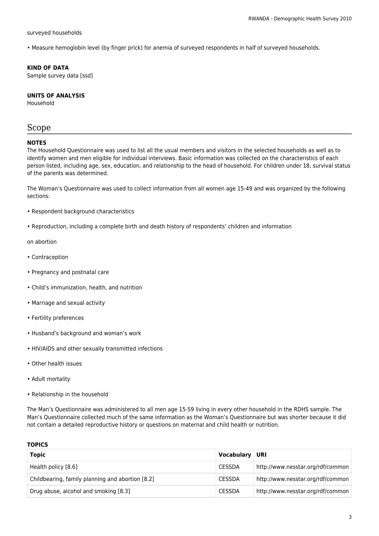#### surveyed households

• Measure hemoglobin level (by finger prick) for anemia of surveyed respondents in half of surveyed households.

#### **KIND OF DATA**

Sample survey data [ssd]

#### **UNITS OF ANALYSIS**

Household

### Scope

#### **NOTES**

The Household Questionnaire was used to list all the usual members and visitors in the selected households as well as to identify women and men eligible for individual interviews. Basic information was collected on the characteristics of each person listed, including age, sex, education, and relationship to the head of household. For children under 18, survival status of the parents was determined.

The Woman's Questionnaire was used to collect information from all women age 15-49 and was organized by the following sections:

- Respondent background characteristics
- Reproduction, including a complete birth and death history of respondents' children and information

on abortion

- Contraception
- Pregnancy and postnatal care
- Child's immunization, health, and nutrition
- Marriage and sexual activity
- Fertility preferences
- Husband's background and woman's work
- HIV/AIDS and other sexually transmitted infections
- Other health issues
- Adult mortality
- Relationship in the household

The Man's Questionnaire was administered to all men age 15-59 living in every other household in the RDHS sample. The Man's Questionnaire collected much of the same information as the Woman's Questionnaire but was shorter because it did not contain a detailed reproductive history or questions on maternal and child health or nutrition.

#### **TOPICS**

| <b>Topic</b>                                     | Vocabulary    | URI                               |
|--------------------------------------------------|---------------|-----------------------------------|
| Health policy [8.6]                              | <b>CESSDA</b> | http://www.nesstar.org/rdf/common |
| Childbearing, family planning and abortion [8.2] | <b>CESSDA</b> | http://www.nesstar.org/rdf/common |
| Drug abuse, alcohol and smoking [8.3]            | <b>CESSDA</b> | http://www.nesstar.org/rdf/common |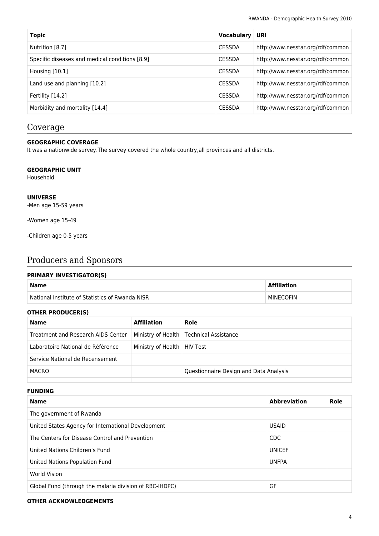| Topic                                          | Vocabulary    | URI                               |
|------------------------------------------------|---------------|-----------------------------------|
| Nutrition [8.7]                                | <b>CESSDA</b> | http://www.nesstar.org/rdf/common |
| Specific diseases and medical conditions [8.9] | <b>CESSDA</b> | http://www.nesstar.org/rdf/common |
| Housing $[10.1]$                               | <b>CESSDA</b> | http://www.nesstar.org/rdf/common |
| Land use and planning [10.2]                   | <b>CESSDA</b> | http://www.nesstar.org/rdf/common |
| Fertility [14.2]                               | <b>CESSDA</b> | http://www.nesstar.org/rdf/common |
| Morbidity and mortality [14.4]                 | <b>CESSDA</b> | http://www.nesstar.org/rdf/common |

### Coverage

### **GEOGRAPHIC COVERAGE**

It was a nationwide survey.The survey covered the whole country,all provinces and all districts.

#### **GEOGRAPHIC UNIT**

Household.

#### **UNIVERSE**

-Men age 15-59 years

-Women age 15-49

-Children age 0-5 years

### Producers and Sponsors

#### **PRIMARY INVESTIGATOR(S)**

| <b>Name</b>                                     | Affiliation |
|-------------------------------------------------|-------------|
| National Institute of Statistics of Rwanda NISR | MINECOFIN   |

#### **OTHER PRODUCER(S)**

| Name                               | <b>Affiliation</b>            | Role                                      |
|------------------------------------|-------------------------------|-------------------------------------------|
| Treatment and Research AIDS Center |                               | Ministry of Health   Technical Assistance |
| Laboratoire National de Référence  | Ministry of Health   HIV Test |                                           |
| Service National de Recensement    |                               |                                           |
| MACRO                              |                               | Questionnaire Design and Data Analysis    |
|                                    |                               |                                           |

#### **FUNDING**

| <b>Name</b>                                             | <b>Abbreviation</b> | Role |
|---------------------------------------------------------|---------------------|------|
| The government of Rwanda                                |                     |      |
| United States Agency for International Development      | <b>USAID</b>        |      |
| The Centers for Disease Control and Prevention          | <b>CDC</b>          |      |
| United Nations Children's Fund                          | <b>UNICEF</b>       |      |
| United Nations Population Fund                          | <b>UNFPA</b>        |      |
| World Vision                                            |                     |      |
| Global Fund (through the malaria division of RBC-IHDPC) | GF                  |      |

#### **OTHER ACKNOWLEDGEMENTS**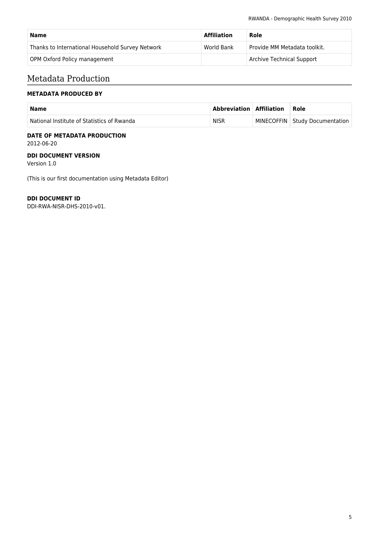| Name                                             | <b>Affiliation</b> | Role                             |
|--------------------------------------------------|--------------------|----------------------------------|
| Thanks to International Household Survey Network | World Bank         | Provide MM Metadata toolkit.     |
| OPM Oxford Policy management                     |                    | <b>Archive Technical Support</b> |

### Metadata Production

### **METADATA PRODUCED BY**

| <b>Name</b>                                | Abbreviation   Affiliation | ∣ Role                         |
|--------------------------------------------|----------------------------|--------------------------------|
| National Institute of Statistics of Rwanda | <b>NISR</b>                | MINECOFFIN Study Documentation |

#### **DATE OF METADATA PRODUCTION** 2012-06-20

#### **DDI DOCUMENT VERSION**

Version 1.0

(This is our first documentation using Metadata Editor)

### **DDI DOCUMENT ID**

DDI-RWA-NISR-DHS-2010-v01.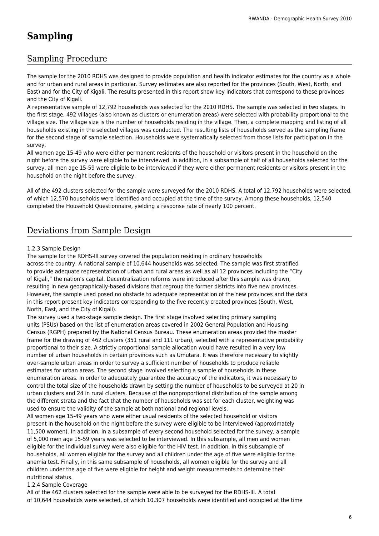## **Sampling**

### Sampling Procedure

The sample for the 2010 RDHS was designed to provide population and health indicator estimates for the country as a whole and for urban and rural areas in particular. Survey estimates are also reported for the provinces (South, West, North, and East) and for the City of Kigali. The results presented in this report show key indicators that correspond to these provinces and the City of Kigali.

A representative sample of 12,792 households was selected for the 2010 RDHS. The sample was selected in two stages. In the first stage, 492 villages (also known as clusters or enumeration areas) were selected with probability proportional to the village size. The village size is the number of households residing in the village. Then, a complete mapping and listing of all households existing in the selected villages was conducted. The resulting lists of households served as the sampling frame for the second stage of sample selection. Households were systematically selected from those lists for participation in the survey.

All women age 15-49 who were either permanent residents of the household or visitors present in the household on the night before the survey were eligible to be interviewed. In addition, in a subsample of half of all households selected for the survey, all men age 15-59 were eligible to be interviewed if they were either permanent residents or visitors present in the household on the night before the survey.

All of the 492 clusters selected for the sample were surveyed for the 2010 RDHS. A total of 12,792 households were selected, of which 12,570 households were identified and occupied at the time of the survey. Among these households, 12,540 completed the Household Questionnaire, yielding a response rate of nearly 100 percent.

### Deviations from Sample Design

#### 1.2.3 Sample Design

The sample for the RDHS-III survey covered the population residing in ordinary households across the country. A national sample of 10,644 households was selected. The sample was first stratified to provide adequate representation of urban and rural areas as well as all 12 provinces including the "City of Kigali," the nation's capital. Decentralization reforms were introduced after this sample was drawn, resulting in new geographically-based divisions that regroup the former districts into five new provinces. However, the sample used posed no obstacle to adequate representation of the new provinces and the data in this report present key indicators corresponding to the five recently created provinces (South, West, North, East, and the City of Kigali).

The survey used a two-stage sample design. The first stage involved selecting primary sampling units (PSUs) based on the list of enumeration areas covered in 2002 General Population and Housing Census (RGPH) prepared by the National Census Bureau. These enumeration areas provided the master frame for the drawing of 462 clusters (351 rural and 111 urban), selected with a representative probability proportional to their size. A strictly proportional sample allocation would have resulted in a very low number of urban households in certain provinces such as Umutara. It was therefore necessary to slightly over-sample urban areas in order to survey a sufficient number of households to produce reliable estimates for urban areas. The second stage involved selecting a sample of households in these enumeration areas. In order to adequately guarantee the accuracy of the indicators, it was necessary to control the total size of the households drawn by setting the number of households to be surveyed at 20 in urban clusters and 24 in rural clusters. Because of the nonproportional distribution of the sample among the different strata and the fact that the number of households was set for each cluster, weighting was used to ensure the validity of the sample at both national and regional levels.

All women age 15-49 years who were either usual residents of the selected household or visitors present in the household on the night before the survey were eligible to be interviewed (approximately 11,500 women). In addition, in a subsample of every second household selected for the survey, a sample of 5,000 men age 15-59 years was selected to be interviewed. In this subsample, all men and women eligible for the individual survey were also eligible for the HIV test. In addition, in this subsample of households, all women eligible for the survey and all children under the age of five were eligible for the anemia test. Finally, in this same subsample of households, all women eligible for the survey and all children under the age of five were eligible for height and weight measurements to determine their nutritional status.

### 1.2.4 Sample Coverage

All of the 462 clusters selected for the sample were able to be surveyed for the RDHS-III. A total of 10,644 households were selected, of which 10,307 households were identified and occupied at the time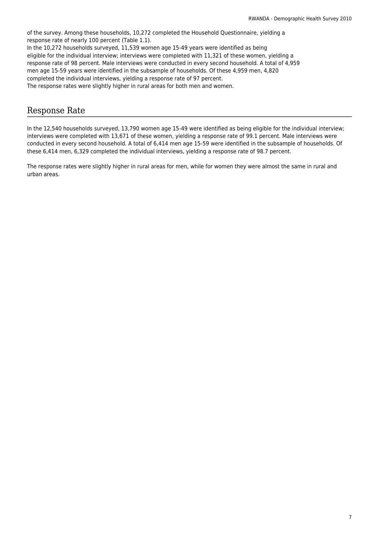of the survey. Among these households, 10,272 completed the Household Questionnaire, yielding a response rate of nearly 100 percent (Table 1.1). In the 10,272 households surveyed, 11,539 women age 15-49 years were identified as being eligible for the individual interview; interviews were completed with 11,321 of these women, yielding a response rate of 98 percent. Male interviews were conducted in every second household. A total of 4,959 men age 15-59 years were identified in the subsample of households. Of these 4,959 men, 4,820 completed the individual interviews, yielding a response rate of 97 percent. The response rates were slightly higher in rural areas for both men and women.

### Response Rate

In the 12,540 households surveyed, 13,790 women age 15-49 were identified as being eligible for the individual interview; interviews were completed with 13,671 of these women, yielding a response rate of 99.1 percent. Male interviews were conducted in every second household. A total of 6,414 men age 15-59 were identified in the subsample of households. Of these 6,414 men, 6,329 completed the individual interviews, yielding a response rate of 98.7 percent.

The response rates were slightly higher in rural areas for men, while for women they were almost the same in rural and urban areas.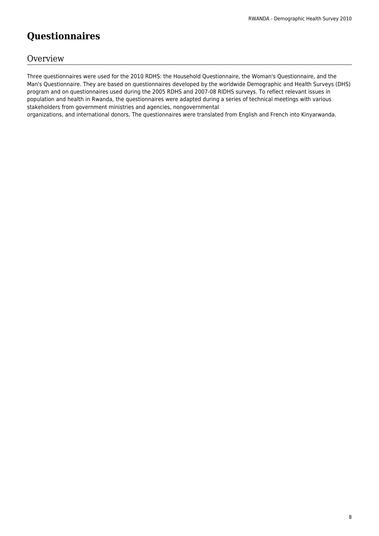# **Questionnaires**

### **Overview**

Three questionnaires were used for the 2010 RDHS: the Household Questionnaire, the Woman's Questionnaire, and the Man's Questionnaire. They are based on questionnaires developed by the worldwide Demographic and Health Surveys (DHS) program and on questionnaires used during the 2005 RDHS and 2007-08 RIDHS surveys. To reflect relevant issues in population and health in Rwanda, the questionnaires were adapted during a series of technical meetings with various stakeholders from government ministries and agencies, nongovernmental

organizations, and international donors. The questionnaires were translated from English and French into Kinyarwanda.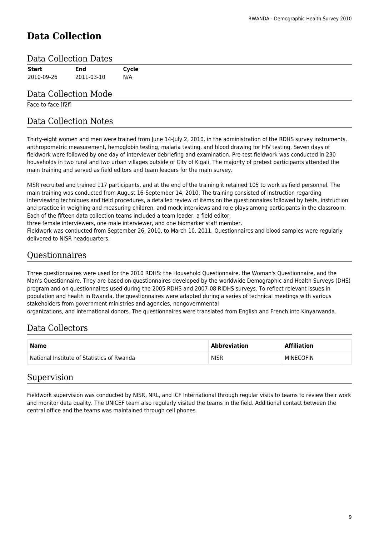# **Data Collection**

### Data Collection Dates

| Start      | End        | Cycle |
|------------|------------|-------|
| 2010-09-26 | 2011-03-10 | N/A   |

### Data Collection Mode

Face-to-face [f2f]

### Data Collection Notes

Thirty-eight women and men were trained from June 14-July 2, 2010, in the administration of the RDHS survey instruments, anthropometric measurement, hemoglobin testing, malaria testing, and blood drawing for HIV testing. Seven days of fieldwork were followed by one day of interviewer debriefing and examination. Pre-test fieldwork was conducted in 230 households in two rural and two urban villages outside of City of Kigali. The majority of pretest participants attended the main training and served as field editors and team leaders for the main survey.

NISR recruited and trained 117 participants, and at the end of the training it retained 105 to work as field personnel. The main training was conducted from August 16-September 14, 2010. The training consisted of instruction regarding interviewing techniques and field procedures, a detailed review of items on the questionnaires followed by tests, instruction and practice in weighing and measuring children, and mock interviews and role plays among participants in the classroom. Each of the fifteen data collection teams included a team leader, a field editor,

three female interviewers, one male interviewer, and one biomarker staff member.

Fieldwork was conducted from September 26, 2010, to March 10, 2011. Questionnaires and blood samples were regularly delivered to NISR headquarters.

### **Ouestionnaires**

Three questionnaires were used for the 2010 RDHS: the Household Questionnaire, the Woman's Questionnaire, and the Man's Questionnaire. They are based on questionnaires developed by the worldwide Demographic and Health Surveys (DHS) program and on questionnaires used during the 2005 RDHS and 2007-08 RIDHS surveys. To reflect relevant issues in population and health in Rwanda, the questionnaires were adapted during a series of technical meetings with various stakeholders from government ministries and agencies, nongovernmental

organizations, and international donors. The questionnaires were translated from English and French into Kinyarwanda.

### Data Collectors

| <b>Name</b>                                | <b>Abbreviation</b> | <b>Affiliation</b> |
|--------------------------------------------|---------------------|--------------------|
| National Institute of Statistics of Rwanda | <b>NISR</b>         | MINECOFIN          |

### Supervision

Fieldwork supervision was conducted by NISR, NRL, and ICF International through regular visits to teams to review their work and monitor data quality. The UNICEF team also regularly visited the teams in the field. Additional contact between the central office and the teams was maintained through cell phones.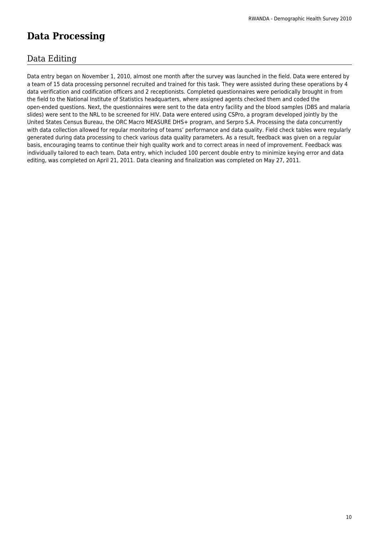# **Data Processing**

### Data Editing

Data entry began on November 1, 2010, almost one month after the survey was launched in the field. Data were entered by a team of 15 data processing personnel recruited and trained for this task. They were assisted during these operations by 4 data verification and codification officers and 2 receptionists. Completed questionnaires were periodically brought in from the field to the National Institute of Statistics headquarters, where assigned agents checked them and coded the open-ended questions. Next, the questionnaires were sent to the data entry facility and the blood samples (DBS and malaria slides) were sent to the NRL to be screened for HIV. Data were entered using CSPro, a program developed jointly by the United States Census Bureau, the ORC Macro MEASURE DHS+ program, and Serpro S.A. Processing the data concurrently with data collection allowed for regular monitoring of teams' performance and data quality. Field check tables were regularly generated during data processing to check various data quality parameters. As a result, feedback was given on a regular basis, encouraging teams to continue their high quality work and to correct areas in need of improvement. Feedback was individually tailored to each team. Data entry, which included 100 percent double entry to minimize keying error and data editing, was completed on April 21, 2011. Data cleaning and finalization was completed on May 27, 2011.